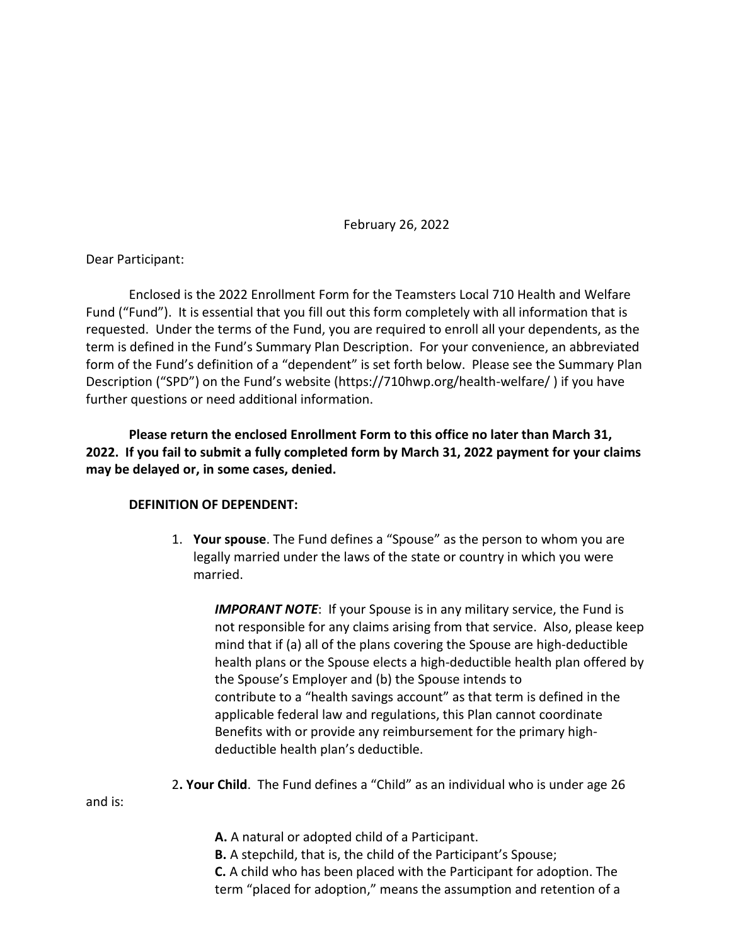February 26, 2022

Dear Participant:

Enclosed is the 2022 Enrollment Form for the Teamsters Local 710 Health and Welfare Fund ("Fund"). It is essential that you fill out this form completely with all information that is requested. Under the terms of the Fund, you are required to enroll all your dependents, as the term is defined in the Fund's Summary Plan Description. For your convenience, an abbreviated form of the Fund's definition of a "dependent" is set forth below. Please see the Summary Plan Description ("SPD") on the Fund's website (https://710hwp.org/health-welfare/ ) if you have further questions or need additional information.

**Please return the enclosed Enrollment Form to this office no later than March 31, 2022. If you fail to submit a fully completed form by March 31, 2022 payment for your claims may be delayed or, in some cases, denied.**

## **DEFINITION OF DEPENDENT:**

1. **Your spouse**. The Fund defines a "Spouse" as the person to whom you are legally married under the laws of the state or country in which you were married.

**IMPORANT NOTE:** If your Spouse is in any military service, the Fund is not responsible for any claims arising from that service. Also, please keep mind that if (a) all of the plans covering the Spouse are high-deductible health plans or the Spouse elects a high-deductible health plan offered by the Spouse's Employer and (b) the Spouse intends to contribute to a "health savings account" as that term is defined in the applicable federal law and regulations, this Plan cannot coordinate Benefits with or provide any reimbursement for the primary highdeductible health plan's deductible.

2**. Your Child**. The Fund defines a "Child" as an individual who is under age 26

and is:

- **A.** A natural or adopted child of a Participant.
- **B.** A stepchild, that is, the child of the Participant's Spouse;

**C.** A child who has been placed with the Participant for adoption. The term "placed for adoption," means the assumption and retention of a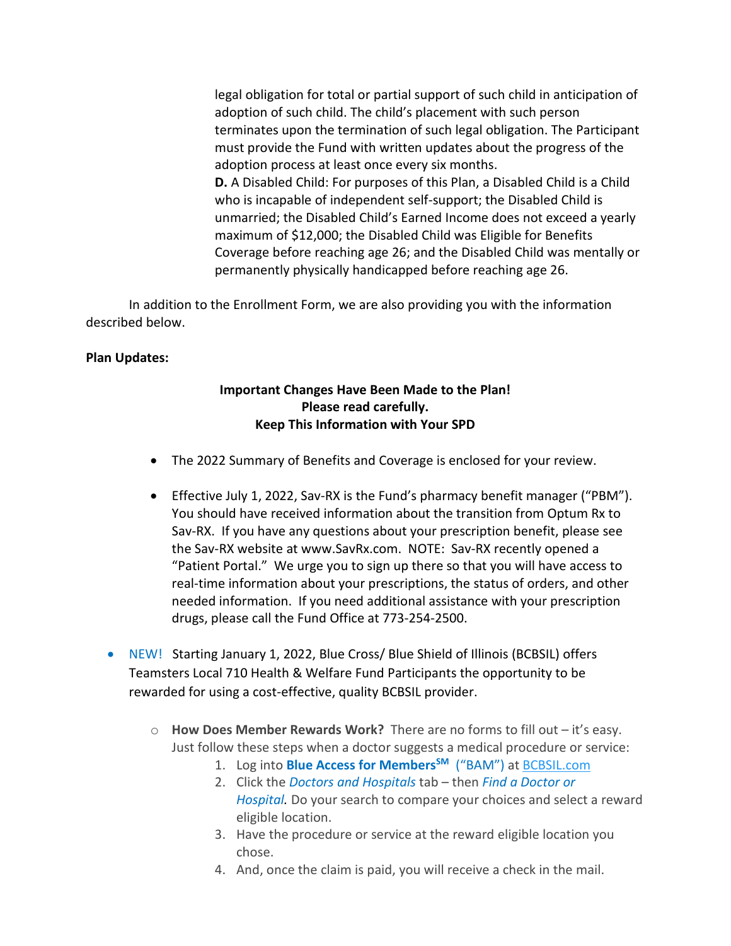legal obligation for total or partial support of such child in anticipation of adoption of such child. The child's placement with such person terminates upon the termination of such legal obligation. The Participant must provide the Fund with written updates about the progress of the adoption process at least once every six months. **D.** A Disabled Child: For purposes of this Plan, a Disabled Child is a Child

who is incapable of independent self-support; the Disabled Child is unmarried; the Disabled Child's Earned Income does not exceed a yearly maximum of \$12,000; the Disabled Child was Eligible for Benefits Coverage before reaching age 26; and the Disabled Child was mentally or permanently physically handicapped before reaching age 26.

In addition to the Enrollment Form, we are also providing you with the information described below.

## **Plan Updates:**

## **Important Changes Have Been Made to the Plan! Please read carefully. Keep This Information with Your SPD**

- The 2022 Summary of Benefits and Coverage is enclosed for your review.
- Effective July 1, 2022, Sav-RX is the Fund's pharmacy benefit manager ("PBM"). You should have received information about the transition from Optum Rx to Sav-RX. If you have any questions about your prescription benefit, please see the Sav-RX website at www.SavRx.com. NOTE: Sav-RX recently opened a "Patient Portal." We urge you to sign up there so that you will have access to real-time information about your prescriptions, the status of orders, and other needed information. If you need additional assistance with your prescription drugs, please call the Fund Office at 773-254-2500.
- NEW! Starting January 1, 2022, Blue Cross/ Blue Shield of Illinois (BCBSIL) offers Teamsters Local 710 Health & Welfare Fund Participants the opportunity to be rewarded for using a cost-effective, quality BCBSIL provider.
	- o **How Does Member Rewards Work?** There are no forms to fill out it's easy. Just follow these steps when a doctor suggests a medical procedure or service:
		- 1. Log into **Blue Access for Members<sup>SM</sup>** ("BAM") at BCBSIL.com
		- 2. Click the *Doctors and Hospitals* tab then *Find a Doctor or Hospital.* Do your search to compare your choices and select a reward eligible location.
		- 3. Have the procedure or service at the reward eligible location you chose.
		- 4. And, once the claim is paid, you will receive a check in the mail.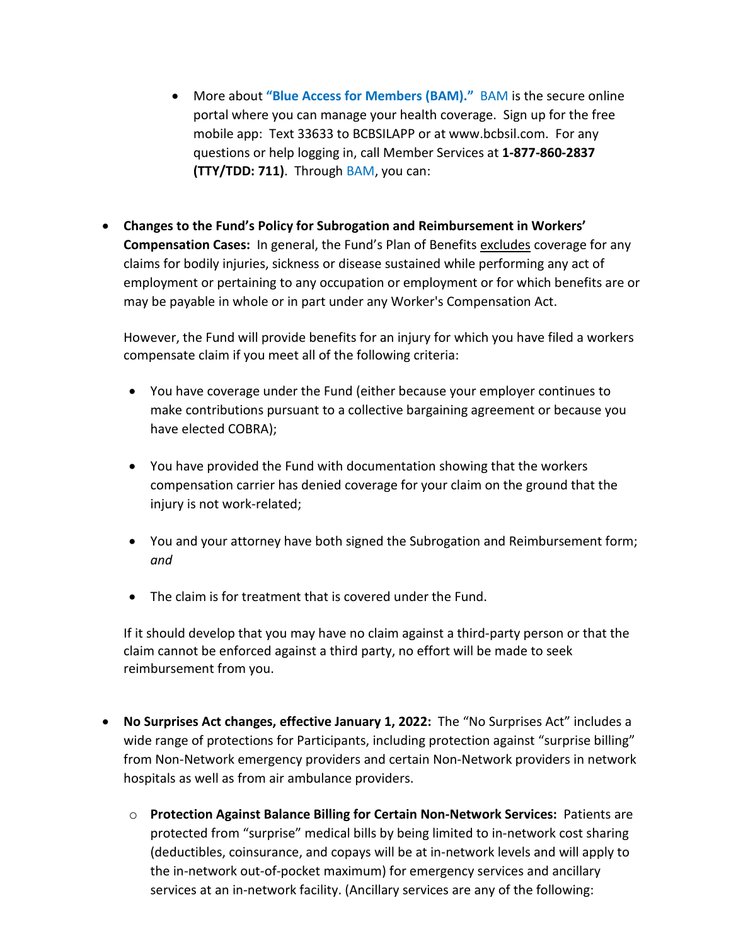- More about **"Blue Access for Members (BAM)."** BAM is the secure online portal where you can manage your health coverage. Sign up for the free mobile app: Text 33633 to BCBSILAPP or at www.bcbsil.com. For any questions or help logging in, call Member Services at **1-877-860-2837 (TTY/TDD: 711)**. Through BAM, you can:
- **Changes to the Fund's Policy for Subrogation and Reimbursement in Workers' Compensation Cases:** In general, the Fund's Plan of Benefits excludes coverage for any claims for bodily injuries, sickness or disease sustained while performing any act of employment or pertaining to any occupation or employment or for which benefits are or may be payable in whole or in part under any Worker's Compensation Act.

However, the Fund will provide benefits for an injury for which you have filed a workers compensate claim if you meet all of the following criteria:

- You have coverage under the Fund (either because your employer continues to make contributions pursuant to a collective bargaining agreement or because you have elected COBRA);
- You have provided the Fund with documentation showing that the workers compensation carrier has denied coverage for your claim on the ground that the injury is not work-related;
- You and your attorney have both signed the Subrogation and Reimbursement form; *and*
- The claim is for treatment that is covered under the Fund.

If it should develop that you may have no claim against a third-party person or that the claim cannot be enforced against a third party, no effort will be made to seek reimbursement from you.

- **No Surprises Act changes, effective January 1, 2022:** The "No Surprises Act" includes a wide range of protections for Participants, including protection against "surprise billing" from Non-Network emergency providers and certain Non-Network providers in network hospitals as well as from air ambulance providers.
	- o **Protection Against Balance Billing for Certain Non-Network Services:** Patients are protected from "surprise" medical bills by being limited to in-network cost sharing (deductibles, coinsurance, and copays will be at in-network levels and will apply to the in-network out-of-pocket maximum) for emergency services and ancillary services at an in-network facility. (Ancillary services are any of the following: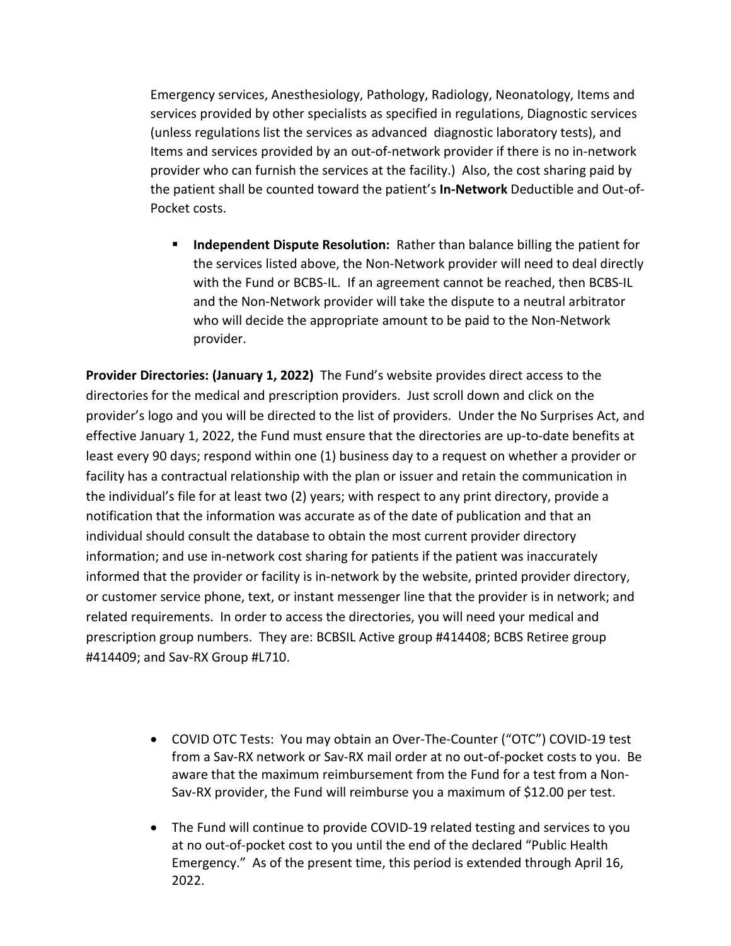Emergency services, Anesthesiology, Pathology, Radiology, Neonatology, Items and services provided by other specialists as specified in regulations, Diagnostic services (unless regulations list the services as advanced diagnostic laboratory tests), and Items and services provided by an out-of-network provider if there is no in-network provider who can furnish the services at the facility.) Also, the cost sharing paid by the patient shall be counted toward the patient's **In-Network** Deductible and Out-of-Pocket costs.

 **Independent Dispute Resolution:** Rather than balance billing the patient for the services listed above, the Non-Network provider will need to deal directly with the Fund or BCBS-IL. If an agreement cannot be reached, then BCBS-IL and the Non-Network provider will take the dispute to a neutral arbitrator who will decide the appropriate amount to be paid to the Non-Network provider.

**Provider Directories: (January 1, 2022)** The Fund's website provides direct access to the directories for the medical and prescription providers. Just scroll down and click on the provider's logo and you will be directed to the list of providers. Under the No Surprises Act, and effective January 1, 2022, the Fund must ensure that the directories are up-to-date benefits at least every 90 days; respond within one (1) business day to a request on whether a provider or facility has a contractual relationship with the plan or issuer and retain the communication in the individual's file for at least two (2) years; with respect to any print directory, provide a notification that the information was accurate as of the date of publication and that an individual should consult the database to obtain the most current provider directory information; and use in-network cost sharing for patients if the patient was inaccurately informed that the provider or facility is in-network by the website, printed provider directory, or customer service phone, text, or instant messenger line that the provider is in network; and related requirements. In order to access the directories, you will need your medical and prescription group numbers. They are: BCBSIL Active group #414408; BCBS Retiree group #414409; and Sav-RX Group #L710.

- COVID OTC Tests: You may obtain an Over-The-Counter ("OTC") COVID-19 test from a Sav-RX network or Sav-RX mail order at no out-of-pocket costs to you. Be aware that the maximum reimbursement from the Fund for a test from a Non-Sav-RX provider, the Fund will reimburse you a maximum of \$12.00 per test.
- The Fund will continue to provide COVID-19 related testing and services to you at no out-of-pocket cost to you until the end of the declared "Public Health Emergency." As of the present time, this period is extended through April 16, 2022.